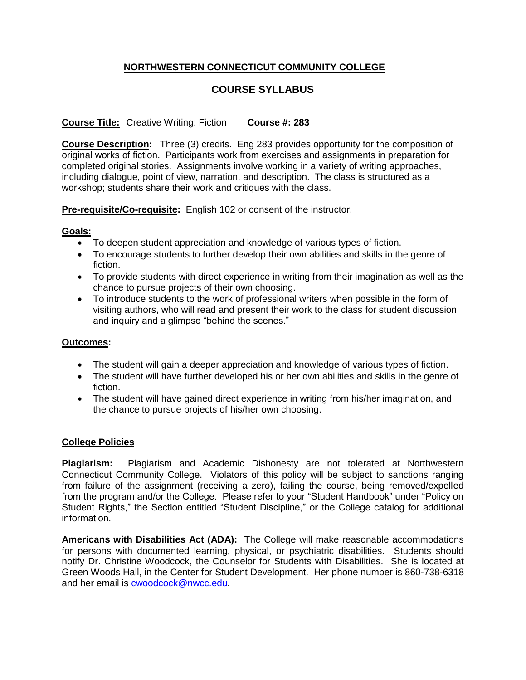## **NORTHWESTERN CONNECTICUT COMMUNITY COLLEGE**

# **COURSE SYLLABUS**

### **Course Title:** Creative Writing: Fiction **Course #: 283**

**Course Description:** Three (3) credits. Eng 283 provides opportunity for the composition of original works of fiction. Participants work from exercises and assignments in preparation for completed original stories. Assignments involve working in a variety of writing approaches, including dialogue, point of view, narration, and description. The class is structured as a workshop; students share their work and critiques with the class.

**Pre-requisite/Co-requisite:** English 102 or consent of the instructor.

#### **Goals:**

- To deepen student appreciation and knowledge of various types of fiction.
- To encourage students to further develop their own abilities and skills in the genre of fiction.
- To provide students with direct experience in writing from their imagination as well as the chance to pursue projects of their own choosing.
- To introduce students to the work of professional writers when possible in the form of visiting authors, who will read and present their work to the class for student discussion and inquiry and a glimpse "behind the scenes."

#### **Outcomes:**

- The student will gain a deeper appreciation and knowledge of various types of fiction.
- The student will have further developed his or her own abilities and skills in the genre of fiction.
- The student will have gained direct experience in writing from his/her imagination, and the chance to pursue projects of his/her own choosing.

## **College Policies**

**Plagiarism:** Plagiarism and Academic Dishonesty are not tolerated at Northwestern Connecticut Community College. Violators of this policy will be subject to sanctions ranging from failure of the assignment (receiving a zero), failing the course, being removed/expelled from the program and/or the College. Please refer to your "Student Handbook" under "Policy on Student Rights," the Section entitled "Student Discipline," or the College catalog for additional information.

**Americans with Disabilities Act (ADA):** The College will make reasonable accommodations for persons with documented learning, physical, or psychiatric disabilities. Students should notify Dr. Christine Woodcock, the Counselor for Students with Disabilities. She is located at Green Woods Hall, in the Center for Student Development. Her phone number is 860-738-6318 and her email is [cwoodcock@nwcc.edu.](mailto:cwoodcock@nwcc.edu)